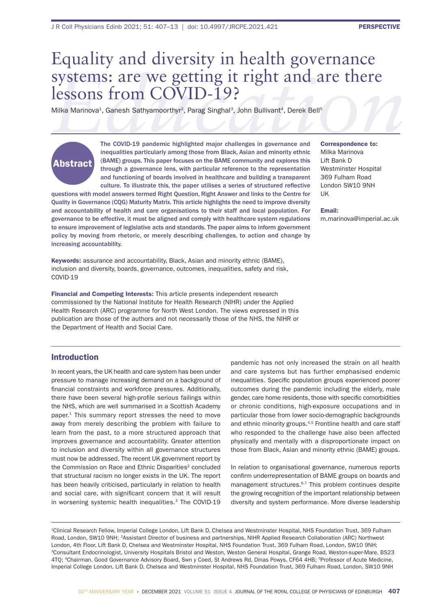## **EXPRESONS: are we getting it right and are there**<br> **ECOVID-19?**<br>
Milka Marinova<sup>1</sup>, Ganesh Sathyamoorthyr<sup>2</sup>, Parag Singhal<sup>3</sup>, John Bullivant<sup>4</sup>, Derek Bell<sup>5</sup><br>
The COVID-19 pandemic highlighted major challenges in gover Equality and diversity in health governance lessons from COVID-19?

Milka Marinova<sup>1</sup>, Ganesh Sathyamoorthyr<sup>2</sup>, Parag Singhal<sup>3</sup>, John Bullivant<sup>4</sup>, Derek Bell<sup>5</sup>

# Abstract

The COVID-19 pandemic highlighted major challenges in governance and inequalities particularly among those from Black, Asian and minority ethnic (BAME) groups. This paper focuses on the BAME community and explores this through a governance lens, with particular reference to the representation and functioning of boards involved in healthcare and building a transparent culture. To illustrate this, the paper utilises a series of structured reflective

questions with model answers termed Right Question, Right Answer and links to the Centre for Quality in Governance (CQG) Maturity Matrix. This article highlights the need to improve diversity and accountability of health and care organisations to their staff and local population. For governance to be effective, it must be aligned and comply with healthcare system regulations to ensure improvement of legislative acts and standards. The paper aims to inform government policy by moving from rhetoric, or merely describing challenges, to action and change by increasing accountability.

Keywords: assurance and accountability, Black, Asian and minority ethnic (BAME), inclusion and diversity, boards, governance, outcomes, inequalities, safety and risk, COVID-19

Financial and Competing Interests: This article presents independent research commissioned by the National Institute for Health Research (NIHR) under the Applied Health Research (ARC) programme for North West London. The views expressed in this publication are those of the authors and not necessarily those of the NHS, the NIHR or the Department of Health and Social Care.

#### Correspondence to: Milka Marinova Lift Bank D Westminster Hospital 369 Fulham Road London SW10 9NH UK

#### Email:

m.marinova@imperial.ac.uk

## Introduction

In recent years, the UK health and care system has been under pressure to manage increasing demand on a background of financial constraints and workforce pressures. Additionally, there have been several high-profile serious failings within the NHS, which are well summarised in a Scottish Academy paper.1 This summary report stresses the need to move away from merely describing the problem with failure to learn from the past, to a more structured approach that improves governance and accountability. Greater attention to inclusion and diversity within all governance structures must now be addressed. The recent UK government report by the Commission on Race and Ethnic Disparities<sup>2</sup> concluded that structural racism no longer exists in the UK. The report has been heavily criticised, particularly in relation to health and social care, with significant concern that it will result in worsening systemic health inequalities.<sup>3</sup> The COVID-19

pandemic has not only increased the strain on all health and care systems but has further emphasised endemic inequalities. Specific population groups experienced poorer outcomes during the pandemic including the elderly, male gender, care home residents, those with specific comorbidities or chronic conditions, high-exposure occupations and in particular those from lower socio-demographic backgrounds and ethnic minority groups.<sup>4,5</sup> Frontline health and care staff who responded to the challenge have also been affected physically and mentally with a disproportionate impact on those from Black, Asian and minority ethnic (BAME) groups.

In relation to organisational governance, numerous reports confirm underrepresentation of BAME groups on boards and management structures.6,7 This problem continues despite the growing recognition of the important relationship between diversity and system performance. More diverse leadership

1Clinical Research Fellow, Imperial College London, Lift Bank D, Chelsea and Westminster Hospital, NHS Foundation Trust, 369 Fulham Road, London, SW10 9NH; 2Assistant Director of business and partnerships, NIHR Applied Research Collaboration (ARC) Northwest London, 4th Floor, Lift Bank D, Chelsea and Westminster Hospital, NHS Foundation Trust, 369 Fulham Road, London, SW10 9NH; 3Consultant Endocrinologist, University Hospitals Bristol and Weston, Weston General Hospital, Grange Road, Weston-super-Mare, BS23 4TQ; 4Chairman, Good Governance Advisory Board, Swn y Coed, St Andrews Rd, Dinas Powys, CF64 4HB; 5Professor of Acute Medicine, Imperial College London, Lift Bank D, Chelsea and Westminster Hospital, NHS Foundation Trust, 369 Fulham Road, London, SW10 9NH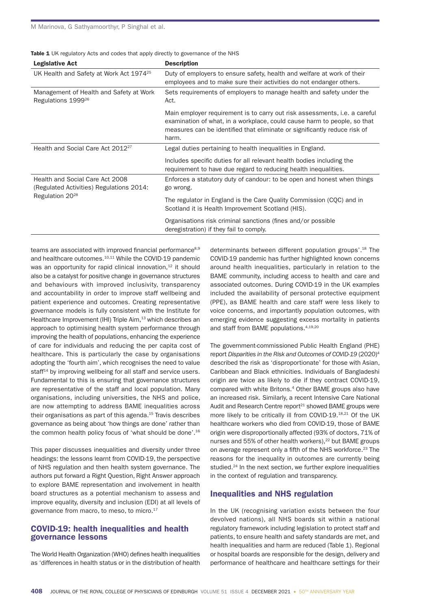| <b>Table 1</b> UK regulatory Acts and codes that apply directly to governance of the NHS |  |
|------------------------------------------------------------------------------------------|--|
|------------------------------------------------------------------------------------------|--|

| <b>Legislative Act</b>                                                                                     | <b>Description</b>                                                                                                                                                                                                                           |  |
|------------------------------------------------------------------------------------------------------------|----------------------------------------------------------------------------------------------------------------------------------------------------------------------------------------------------------------------------------------------|--|
| UK Health and Safety at Work Act 1974 <sup>25</sup>                                                        | Duty of employers to ensure safety, health and welfare at work of their<br>employees and to make sure their activities do not endanger others.                                                                                               |  |
| Management of Health and Safety at Work<br>Regulations 1999 <sup>26</sup>                                  | Sets requirements of employers to manage health and safety under the<br>Act.                                                                                                                                                                 |  |
|                                                                                                            | Main employer requirement is to carry out risk assessments, i.e. a careful<br>examination of what, in a workplace, could cause harm to people, so that<br>measures can be identified that eliminate or significantly reduce risk of<br>harm. |  |
| Health and Social Care Act 2012 <sup>27</sup>                                                              | Legal duties pertaining to health inequalities in England.                                                                                                                                                                                   |  |
|                                                                                                            | Includes specific duties for all relevant health bodies including the<br>requirement to have due regard to reducing health inequalities.                                                                                                     |  |
| Health and Social Care Act 2008<br>(Regulated Activities) Regulations 2014:<br>Regulation 20 <sup>28</sup> | Enforces a statutory duty of candour: to be open and honest when things<br>go wrong.                                                                                                                                                         |  |
|                                                                                                            | The regulator in England is the Care Quality Commission (CQC) and in<br>Scotland it is Health Improvement Scotland (HIS).                                                                                                                    |  |
|                                                                                                            | Organisations risk criminal sanctions (fines and/or possible<br>deregistration) if they fail to comply.                                                                                                                                      |  |

teams are associated with improved financial performance<sup>8,9</sup> and healthcare outcomes.10,11 While the COVID-19 pandemic was an opportunity for rapid clinical innovation,<sup>12</sup> it should also be a catalyst for positive change in governance structures and behaviours with improved inclusivity, transparency and accountability in order to improve staff wellbeing and patient experience and outcomes. Creating representative governance models is fully consistent with the Institute for Healthcare Improvement (IHI) Triple Aim,<sup>13</sup> which describes an approach to optimising health system performance through improving the health of populations, enhancing the experience of care for individuals and reducing the per capita cost of healthcare. This is particularly the case by organisations adopting the 'fourth aim', which recognises the need to value staff<sup>14</sup> by improving wellbeing for all staff and service users. Fundamental to this is ensuring that governance structures are representative of the staff and local population. Many organisations, including universities, the NHS and police, are now attempting to address BAME inequalities across their organisations as part of this agenda.15 Travis describes governance as being about 'how things are done' rather than the common health policy focus of 'what should be done'.16

This paper discusses inequalities and diversity under three headings: the lessons learnt from COVID-19, the perspective of NHS regulation and then health system governance. The authors put forward a Right Question, Right Answer approach to explore BAME representation and involvement in health board structures as a potential mechanism to assess and improve equality, diversity and inclusion (EDI) at all levels of governance from macro, to meso, to micro.<sup>17</sup>

### COVID-19: health inequalities and health governance lessons

The World Health Organization (WHO) defines health inequalities as 'differences in health status or in the distribution of health

determinants between different population groups'.<sup>18</sup> The COVID-19 pandemic has further highlighted known concerns around health inequalities, particularly in relation to the BAME community, including access to health and care and associated outcomes. During COVID-19 in the UK examples included the availability of personal protective equipment (PPE), as BAME health and care staff were less likely to voice concerns, and importantly population outcomes, with emerging evidence suggesting excess mortality in patients and staff from BAME populations.4,19,20

The government-commissioned Public Health England (PHE) report *Disparities in the Risk and Outcomes of COVID-19* (2020)4 described the risk as 'disproportionate' for those with Asian, Caribbean and Black ethnicities. Individuals of Bangladeshi origin are twice as likely to die if they contract COVID-19, compared with white Britons.4 Other BAME groups also have an increased risk. Similarly, a recent Intensive Care National Audit and Research Centre report $21$  showed BAME groups were more likely to be critically ill from COVID-19.<sup>18,21</sup> Of the UK healthcare workers who died from COVID-19, those of BAME origin were disproportionally affected (93% of doctors, 71% of nurses and 55% of other health workers).<sup>22</sup> but BAME groups on average represent only a fifth of the NHS workforce.<sup>23</sup> The reasons for the inequality in outcomes are currently being studied.<sup>24</sup> In the next section, we further explore inequalities in the context of regulation and transparency.

#### Inequalities and NHS regulation

In the UK (recognising variation exists between the four devolved nations), all NHS boards sit within a national regulatory framework including legislation to protect staff and patients, to ensure health and safety standards are met, and health inequalities and harm are reduced (Table 1). Regional or hospital boards are responsible for the design, delivery and performance of healthcare and healthcare settings for their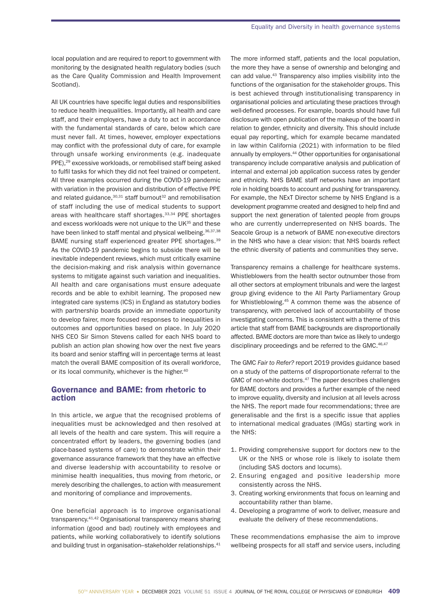local population and are required to report to government with monitoring by the designated health regulatory bodies (such as the Care Quality Commission and Health Improvement Scotland).

All UK countries have specific legal duties and responsibilities to reduce health inequalities. Importantly, all health and care staff, and their employers, have a duty to act in accordance with the fundamental standards of care, below which care must never fall. At times, however, employer expectations may conflict with the professional duty of care, for example through unsafe working environments (e.g. inadequate PPE),<sup>29</sup> excessive workloads, or remobilised staff being asked to fulfil tasks for which they did not feel trained or competent. All three examples occurred during the COVID-19 pandemic with variation in the provision and distribution of effective PPE and related guidance, $30,31$  staff burnout<sup>32</sup> and remobilisation of staff including the use of medical students to support areas with healthcare staff shortages.<sup>33,34</sup> PPE shortages and excess workloads were not unique to the UK<sup>35</sup> and these have been linked to staff mental and physical wellbeing.<sup>36,37,38</sup> BAME nursing staff experienced greater PPE shortages.39 As the COVID-19 pandemic begins to subside there will be inevitable independent reviews, which must critically examine the decision-making and risk analysis within governance systems to mitigate against such variation and inequalities. All health and care organisations must ensure adequate records and be able to exhibit learning. The proposed new integrated care systems (ICS) in England as statutory bodies with partnership boards provide an immediate opportunity to develop fairer, more focused responses to inequalities in outcomes and opportunities based on place. In July 2020 NHS CEO Sir Simon Stevens called for each NHS board to publish an action plan showing how over the next five years its board and senior staffing will in percentage terms at least match the overall BAME composition of its overall workforce, or its local community, whichever is the higher.<sup>40</sup>

#### Governance and BAME: from rhetoric to action

In this article, we argue that the recognised problems of inequalities must be acknowledged and then resolved at all levels of the health and care system. This will require a concentrated effort by leaders, the governing bodies (and place-based systems of care) to demonstrate within their governance assurance framework that they have an effective and diverse leadership with accountability to resolve or minimise health inequalities, thus moving from rhetoric, or merely describing the challenges, to action with measurement and monitoring of compliance and improvements.

One beneficial approach is to improve organisational transparency.41,42 Organisational transparency means sharing information (good and bad) routinely with employees and patients, while working collaboratively to identify solutions and building trust in organisation–stakeholder relationships.<sup>41</sup> The more informed staff, patients and the local population, the more they have a sense of ownership and belonging and can add value.43 Transparency also implies visibility into the functions of the organisation for the stakeholder groups. This is best achieved through institutionalising transparency in organisational policies and articulating these practices through well-defined processes. For example, boards should have full disclosure with open publication of the makeup of the board in relation to gender, ethnicity and diversity. This should include equal pay reporting, which for example became mandated in law within California (2021) with information to be filed annually by employers.<sup>44</sup> Other opportunities for organisational transparency include comparative analysis and publication of internal and external job application success rates by gender and ethnicity. NHS BAME staff networks have an important role in holding boards to account and pushing for transparency. For example, the NExT Director scheme by NHS England is a development programme created and designed to help find and support the next generation of talented people from groups who are currently underrepresented on NHS boards. The Seacole Group is a network of BAME non-executive directors in the NHS who have a clear vision: that NHS boards reflect the ethnic diversity of patients and communities they serve.

Transparency remains a challenge for healthcare systems. Whistleblowers from the health sector outnumber those from all other sectors at employment tribunals and were the largest group giving evidence to the All Party Parliamentary Group for Whistleblowing.45 A common theme was the absence of transparency, with perceived lack of accountability of those investigating concerns. This is consistent with a theme of this article that staff from BAME backgrounds are disproportionally affected. BAME doctors are more than twice as likely to undergo disciplinary proceedings and be referred to the GMC.<sup>46,47</sup>

The GMC *Fair to Refer?* report 2019 provides guidance based on a study of the patterns of disproportionate referral to the GMC of non-white doctors.<sup>47</sup> The paper describes challenges for BAME doctors and provides a further example of the need to improve equality, diversity and inclusion at all levels across the NHS. The report made four recommendations; three are generalisable and the first is a specific issue that applies to international medical graduates (IMGs) starting work in the NHS:

- 1. Providing comprehensive support for doctors new to the UK or the NHS or whose role is likely to isolate them (including SAS doctors and locums).
- 2. Ensuring engaged and positive leadership more consistently across the NHS.
- 3. Creating working environments that focus on learning and accountability rather than blame.
- 4. Developing a programme of work to deliver, measure and evaluate the delivery of these recommendations.

These recommendations emphasise the aim to improve wellbeing prospects for all staff and service users, including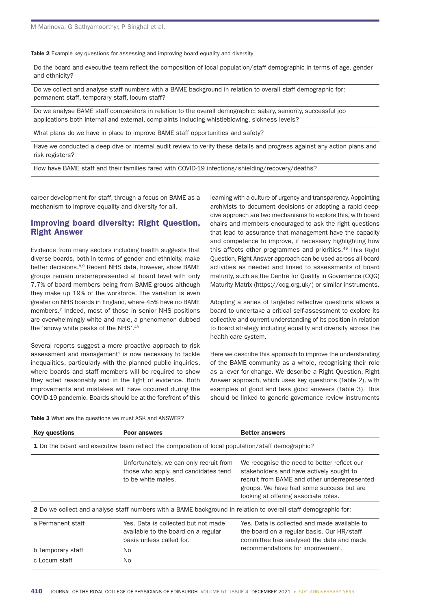Table 2 Example key questions for assessing and improving board equality and diversity

Do the board and executive team reflect the composition of local population/staff demographic in terms of age, gender and ethnicity?

Do we collect and analyse staff numbers with a BAME background in relation to overall staff demographic for: permanent staff, temporary staff, locum staff?

Do we analyse BAME staff comparators in relation to the overall demographic: salary, seniority, successful job applications both internal and external, complaints including whistleblowing, sickness levels?

What plans do we have in place to improve BAME staff opportunities and safety?

Have we conducted a deep dive or internal audit review to verify these details and progress against any action plans and risk registers?

How have BAME staff and their families fared with COVID-19 infections/shielding/recovery/deaths?

career development for staff, through a focus on BAME as a mechanism to improve equality and diversity for all.

## Improving board diversity: Right Question, Right Answer

Evidence from many sectors including health suggests that diverse boards, both in terms of gender and ethnicity, make better decisions.<sup>8,9</sup> Recent NHS data, however, show BAME groups remain underrepresented at board level with only 7.7% of board members being from BAME groups although they make up 19% of the workforce. The variation is even greater on NHS boards in England, where 45% have no BAME members.7 Indeed, most of those in senior NHS positions are overwhelmingly white and male, a phenomenon dubbed the 'snowy white peaks of the NHS'.<sup>48</sup>

Several reports suggest a more proactive approach to risk assessment and management $1$  is now necessary to tackle inequalities, particularly with the planned public inquiries, where boards and staff members will be required to show they acted reasonably and in the light of evidence. Both improvements and mistakes will have occurred during the COVID-19 pandemic. Boards should be at the forefront of this

learning with a culture of urgency and transparency. Appointing archivists to document decisions or adopting a rapid deepdive approach are two mechanisms to explore this, with board chairs and members encouraged to ask the right questions that lead to assurance that management have the capacity and competence to improve, if necessary highlighting how this affects other programmes and priorities.<sup>49</sup> This Right Question, Right Answer approach can be used across all board activities as needed and linked to assessments of board maturity, such as the Centre for Quality in Governance (CQG) Maturity Matrix (https://cqg.org.uk/) or similar instruments.

Adopting a series of targeted reflective questions allows a board to undertake a critical self-assessment to explore its collective and current understanding of its position in relation to board strategy including equality and diversity across the health care system.

Here we describe this approach to improve the understanding of the BAME community as a whole, recognising their role as a lever for change. We describe a Right Question, Right Answer approach, which uses key questions (Table 2), with examples of good and less good answers (Table 3). This should be linked to generic governance review instruments

Table 3 What are the questions we must ASK and ANSWER?

| <b>Key questions</b>                                                                                                  | <b>Poor answers</b>                                                                                    | <b>Better answers</b>                                                                                                                                                                                                       |  |  |
|-----------------------------------------------------------------------------------------------------------------------|--------------------------------------------------------------------------------------------------------|-----------------------------------------------------------------------------------------------------------------------------------------------------------------------------------------------------------------------------|--|--|
| <b>1</b> Do the board and executive team reflect the composition of local population/staff demographic?               |                                                                                                        |                                                                                                                                                                                                                             |  |  |
|                                                                                                                       | Unfortunately, we can only recruit from<br>those who apply, and candidates tend<br>to be white males.  | We recognise the need to better reflect our<br>stakeholders and have actively sought to<br>recruit from BAME and other underrepresented<br>groups. We have had some success but are<br>looking at offering associate roles. |  |  |
| <b>2</b> Do we collect and analyse staff numbers with a BAME background in relation to overall staff demographic for: |                                                                                                        |                                                                                                                                                                                                                             |  |  |
| a Permanent staff                                                                                                     | Yes. Data is collected but not made<br>available to the board on a regular<br>basis unless called for. | Yes. Data is collected and made available to<br>the board on a regular basis. Our HR/staff<br>committee has analysed the data and made                                                                                      |  |  |
| b Temporary staff                                                                                                     | No.                                                                                                    | recommendations for improvement.                                                                                                                                                                                            |  |  |
| c Locum staff                                                                                                         | No.                                                                                                    |                                                                                                                                                                                                                             |  |  |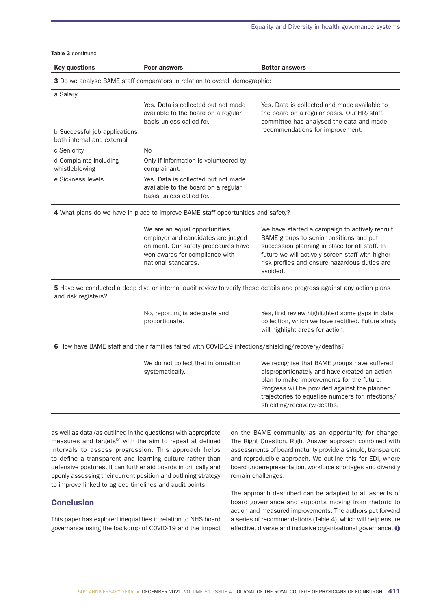Table 3 continued

| <b>Key questions</b>                     | <b>Poor answers</b>                                                                                                                                                  | <b>Better answers</b>                                                                                                                                                                                                                                                        |
|------------------------------------------|----------------------------------------------------------------------------------------------------------------------------------------------------------------------|------------------------------------------------------------------------------------------------------------------------------------------------------------------------------------------------------------------------------------------------------------------------------|
|                                          | 3 Do we analyse BAME staff comparators in relation to overall demographic:                                                                                           |                                                                                                                                                                                                                                                                              |
| a Salary                                 |                                                                                                                                                                      |                                                                                                                                                                                                                                                                              |
| b Successful job applications            | Yes. Data is collected but not made<br>available to the board on a regular<br>basis unless called for.                                                               | Yes. Data is collected and made available to<br>the board on a regular basis. Our HR/staff<br>committee has analysed the data and made<br>recommendations for improvement.                                                                                                   |
| both internal and external               |                                                                                                                                                                      |                                                                                                                                                                                                                                                                              |
| c Seniority                              | No.                                                                                                                                                                  |                                                                                                                                                                                                                                                                              |
| d Complaints including<br>whistleblowing | Only if information is volunteered by<br>complainant.                                                                                                                |                                                                                                                                                                                                                                                                              |
| e Sickness levels                        | Yes. Data is collected but not made<br>available to the board on a regular<br>basis unless called for.                                                               |                                                                                                                                                                                                                                                                              |
|                                          | 4 What plans do we have in place to improve BAME staff opportunities and safety?                                                                                     |                                                                                                                                                                                                                                                                              |
|                                          | We are an equal opportunities<br>employer and candidates are judged<br>on merit. Our safety procedures have<br>won awards for compliance with<br>national standards. | We have started a campaign to actively recruit<br>BAME groups to senior positions and put<br>succession planning in place for all staff. In<br>future we will actively screen staff with higher<br>risk profiles and ensure hazardous duties are<br>avoided.                 |
| and risk registers?                      |                                                                                                                                                                      | 5 Have we conducted a deep dive or internal audit review to verify these details and progress against any action plans                                                                                                                                                       |
|                                          | No, reporting is adequate and<br>proportionate.                                                                                                                      | Yes, first review highlighted some gaps in data<br>collection, which we have rectified. Future study<br>will highlight areas for action.                                                                                                                                     |
|                                          | 6 How have BAME staff and their families faired with COVID-19 infections/shielding/recovery/deaths?                                                                  |                                                                                                                                                                                                                                                                              |
|                                          | We do not collect that information<br>systematically.                                                                                                                | We recognise that BAME groups have suffered<br>disproportionately and have created an action<br>plan to make improvements for the future.<br>Progress will be provided against the planned<br>trajectories to equalise numbers for infections/<br>shielding/recovery/deaths. |

as well as data (as outlined in the questions) with appropriate measures and targets<sup>50</sup> with the aim to repeat at defined intervals to assess progression. This approach helps to define a transparent and learning culture rather than defensive postures. It can further aid boards in critically and openly assessing their current position and outlining strategy to improve linked to agreed timelines and audit points.

## **Conclusion**

This paper has explored inequalities in relation to NHS board governance using the backdrop of COVID-19 and the impact on the BAME community as an opportunity for change. The Right Question, Right Answer approach combined with assessments of board maturity provide a simple, transparent and reproducible approach. We outline this for EDI, where board underrepresentation, workforce shortages and diversity remain challenges.

The approach described can be adapted to all aspects of board governance and supports moving from rhetoric to action and measured improvements. The authors put forward a series of recommendations (Table 4), which will help ensure effective, diverse and inclusive organisational governance.  $\bullet$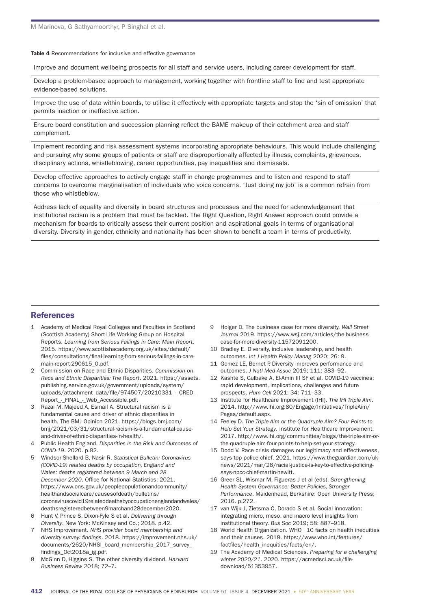Table 4 Recommendations for inclusive and effective governance

Improve and document wellbeing prospects for all staff and service users, including career development for staff.

Develop a problem-based approach to management, working together with frontline staff to find and test appropriate evidence-based solutions.

Improve the use of data within boards, to utilise it effectively with appropriate targets and stop the 'sin of omission' that permits inaction or ineffective action.

Ensure board constitution and succession planning reflect the BAME makeup of their catchment area and staff complement.

Implement recording and risk assessment systems incorporating appropriate behaviours. This would include challenging and pursuing why some groups of patients or staff are disproportionally affected by illness, complaints, grievances, disciplinary actions, whistleblowing, career opportunities, pay inequalities and dismissals.

Develop effective approaches to actively engage staff in change programmes and to listen and respond to staff concerns to overcome marginalisation of individuals who voice concerns. 'Just doing my job' is a common refrain from those who whistleblow.

Address lack of equality and diversity in board structures and processes and the need for acknowledgement that institutional racism is a problem that must be tackled. The Right Question, Right Answer approach could provide a mechanism for boards to critically assess their current position and aspirational goals in terms of organisational diversity. Diversity in gender, ethnicity and nationality has been shown to benefit a team in terms of productivity.

## **References**

- 1 Academy of Medical Royal Colleges and Faculties in Scotland (Scottish Academy) Short-Life Working Group on Hospital Reports. *Learning from Serious Failings in Care: Main Report*. 2015. https://www.scottishacademy.org.uk/sites/default/ files/consultations/final-learning-from-serious-failings-in-caremain-report-290615\_0.pdf.
- 2 Commission on Race and Ethnic Disparities. *Commission on Race and Ethnic Disparities: The Report*. 2021. https://assets. publishing.service.gov.uk/government/uploads/system/ uploads/attachment\_data/file/974507/20210331\_-\_CRED\_ Report\_-\_FINAL\_-\_Web\_Accessible.pdf.
- 3 Razai M, Majeed A, Esmail A. Structural racism is a fundamental cause and driver of ethnic disparities in health. The BMJ Opinion 2021. https://blogs.bmj.com/ bmj/2021/03/31/structural-racism-is-a-fundamental-causeand-driver-of-ethnic-disparities-in-health/.
- 4 Public Health England. *Disparities in the Risk and Outcomes of COVID-19*. 2020. p.92.
- 5 Windsor-Shellard B, Nasir R. *Statistical Bulletin: Coronavirus (COVID-19) related deaths by occupation, England and Wales: deaths registered between 9 March and 28*  December 2020. Office for National Statistics; 2021. https://www.ons.gov.uk/peoplepopulationandcommunity/ healthandsocialcare/causesofdeath/bulletins/ coronaviruscovid19relateddeathsbyoccupationenglandandwales/ deathsregisteredbetween9marchand28december2020.
- 6 Hunt V, Prince S, Dixon-Fyle S et al. *Delivering through Diversity*. New York: McKinsey and Co.; 2018. p.42.
- 7 NHS Improvement. *NHS provider board membership and diversity survey: fi ndings*. 2018. https://improvement.nhs.uk/ documents/2620/NHSI\_board\_membership\_2017\_survey\_ findings\_Oct2018a\_ig.pdf.
- 8 McGinn D, Higgins S. The other diversity dividend. *Harvard Business Review* 2018; 72–7.
- 9 Holger D. The business case for more diversity. *Wall Street Journal* 2019. https://www.wsj.com/articles/the-businesscase-for-more-diversity-11572091200.
- 10 Bradley E. Diversity, inclusive leadership, and health outcomes. *Int J Health Policy Manag* 2020; 26: 9.
- 11 Gomez LE, Bernet P. Diversity improves performance and outcomes. *J Natl Med Assoc* 2019; 111: 383–92.
- 12 Kashte S, Gulbake A, El-Amin III SF et al. COVID-19 vaccines: rapid development, implications, challenges and future prospects. *Hum Cell* 2021; 34: 711–33.
- 13 Institute for Healthcare Improvement (IHI). *The IHI Triple Aim*. 2014. http://www.ihi.org:80/Engage/Initiatives/TripleAim/ Pages/default.aspx.
- 14 Feeley D. *The Triple Aim or the Quadruple Aim? Four Points to Help Set Your Strategy*. Institute for Healthcare Improvement. 2017. http://www.ihi.org/communities/blogs/the-triple-aim-orthe-quadruple-aim-four-points-to-help-set-your-strategy.
- 15 Dodd V. Race crisis damages our legitimacy and effectiveness, says top police chief. 2021. https://www.theguardian.com/uknews/2021/mar/28/racial-justice-is-key-to-effective-policingsays-npcc-chief-martin-hewitt.
- 16 Greer SL, Wismar M, Figueras J et al (eds). *Strengthening Health System Governance: Better Policies, Stronger Performance*. Maidenhead, Berkshire: Open University Press; 2016. p.272.
- 17 van Wijk J, Zietsma C, Dorado S et al. Social innovation: integrating micro, meso, and macro level insights from institutional theory. *Bus Soc* 2019; 58: 887–918.
- 18 World Health Organization. WHO | 10 facts on health inequities and their causes. 2018. https://www.who.int/features/ factfiles/health\_inequities/facts/en/.
- 19 The Academy of Medical Sciences. *Preparing for a challenging*  winter 2020/21. 2020. https://acmedsci.ac.uk/filedownload/51353957.